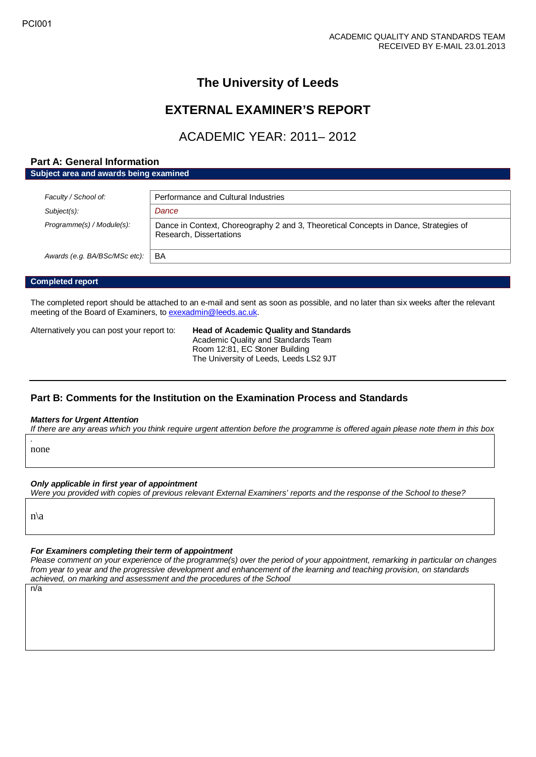# **The University of Leeds**

# **EXTERNAL EXAMINER'S REPORT**

ACADEMIC YEAR: 2011– 2012

# **Part A: General Information**

**Subject area and awards being examined**

| Faculty / School of:          | Performance and Cultural Industries                                                                             |
|-------------------------------|-----------------------------------------------------------------------------------------------------------------|
| Subject(s):                   | Dance                                                                                                           |
| Programme(s) / Module(s):     | Dance in Context, Choreography 2 and 3, Theoretical Concepts in Dance, Strategies of<br>Research, Dissertations |
| Awards (e.g. BA/BSc/MSc etc): | BA                                                                                                              |

#### **Completed report**

The completed report should be attached to an e-mail and sent as soon as possible, and no later than six weeks after the relevant meeting of the Board of Examiners, t[o exexadmin@leeds.ac.uk.](mailto:exexadmin@leeds.ac.uk)

Alternatively you can post your report to: **Head of Academic Quality and Standards**

Academic Quality and Standards Team Room 12:81, EC Stoner Building The University of Leeds, Leeds LS2 9JT

## **Part B: Comments for the Institution on the Examination Process and Standards**

#### *Matters for Urgent Attention*

*If there are any areas which you think require urgent attention before the programme is offered again please note them in this box*

none

*.*

#### *Only applicable in first year of appointment*

*Were you provided with copies of previous relevant External Examiners' reports and the response of the School to these?* 

n\a

#### *For Examiners completing their term of appointment*

*Please comment on your experience of the programme(s) over the period of your appointment, remarking in particular on changes from year to year and the progressive development and enhancement of the learning and teaching provision, on standards achieved, on marking and assessment and the procedures of the School*

n/a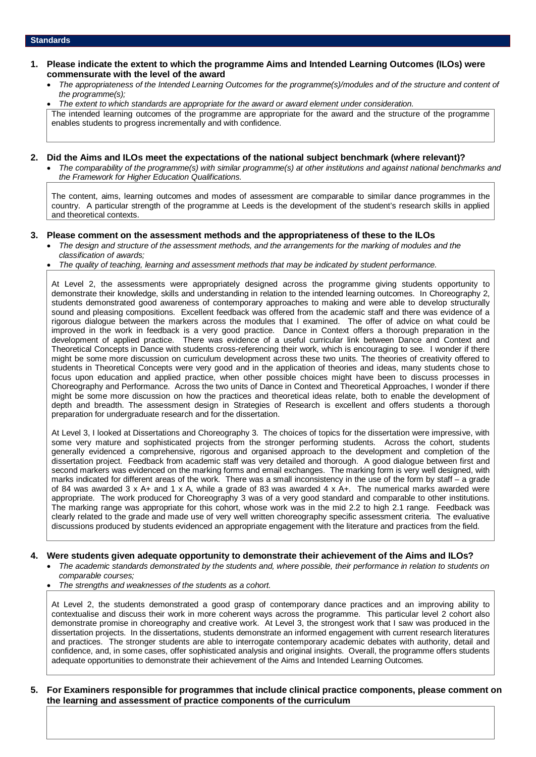- **1. Please indicate the extent to which the programme Aims and Intended Learning Outcomes (ILOs) were commensurate with the level of the award**
	- *The appropriateness of the Intended Learning Outcomes for the programme(s)/modules and of the structure and content of the programme(s);*

• *The extent to which standards are appropriate for the award or award element under consideration.* The intended learning outcomes of the programme are appropriate for the award and the structure of the programme enables students to progress incrementally and with confidence.

### **2. Did the Aims and ILOs meet the expectations of the national subject benchmark (where relevant)?**

• *The comparability of the programme(s) with similar programme(s) at other institutions and against national benchmarks and the Framework for Higher Education Qualifications.*

The content, aims, learning outcomes and modes of assessment are comparable to similar dance programmes in the country. A particular strength of the programme at Leeds is the development of the student's research skills in applied and theoretical contexts.

## **3. Please comment on the assessment methods and the appropriateness of these to the ILOs**

- *The design and structure of the assessment methods, and the arrangements for the marking of modules and the classification of awards;*
- *The quality of teaching, learning and assessment methods that may be indicated by student performance.*

At Level 2, the assessments were appropriately designed across the programme giving students opportunity to demonstrate their knowledge, skills and understanding in relation to the intended learning outcomes. In Choreography 2, students demonstrated good awareness of contemporary approaches to making and were able to develop structurally sound and pleasing compositions. Excellent feedback was offered from the academic staff and there was evidence of a rigorous dialogue between the markers across the modules that I examined. The offer of advice on what could be improved in the work in feedback is a very good practice. Dance in Context offers a thorough preparation in the development of applied practice. There was evidence of a useful curricular link between Dance and Context and Theoretical Concepts in Dance with students cross-referencing their work, which is encouraging to see. I wonder if there might be some more discussion on curriculum development across these two units. The theories of creativity offered to students in Theoretical Concepts were very good and in the application of theories and ideas, many students chose to focus upon education and applied practice, when other possible choices might have been to discuss processes in Choreography and Performance. Across the two units of Dance in Context and Theoretical Approaches, I wonder if there might be some more discussion on how the practices and theoretical ideas relate, both to enable the development of depth and breadth. The assessment design in Strategies of Research is excellent and offers students a thorough preparation for undergraduate research and for the dissertation.

At Level 3, I looked at Dissertations and Choreography 3. The choices of topics for the dissertation were impressive, with some very mature and sophisticated projects from the stronger performing students. Across the cohort, students generally evidenced a comprehensive, rigorous and organised approach to the development and completion of the dissertation project. Feedback from academic staff was very detailed and thorough. A good dialogue between first and second markers was evidenced on the marking forms and email exchanges. The marking form is very well designed, with marks indicated for different areas of the work. There was a small inconsistency in the use of the form by staff – a grade of 84 was awarded 3 x A+ and 1 x A, while a grade of 83 was awarded 4 x A+. The numerical marks awarded were appropriate. The work produced for Choreography 3 was of a very good standard and comparable to other institutions. The marking range was appropriate for this cohort, whose work was in the mid 2.2 to high 2.1 range. Feedback was clearly related to the grade and made use of very well written choreography specific assessment criteria. The evaluative discussions produced by students evidenced an appropriate engagement with the literature and practices from the field.

## **4. Were students given adequate opportunity to demonstrate their achievement of the Aims and ILOs?**

- *The academic standards demonstrated by the students and, where possible, their performance in relation to students on comparable courses;*
- *The strengths and weaknesses of the students as a cohort.*

At Level 2, the students demonstrated a good grasp of contemporary dance practices and an improving ability to contextualise and discuss their work in more coherent ways across the programme. This particular level 2 cohort also demonstrate promise in choreography and creative work. At Level 3, the strongest work that I saw was produced in the dissertation projects. In the dissertations, students demonstrate an informed engagement with current research literatures and practices. The stronger students are able to interrogate contemporary academic debates with authority, detail and confidence, and, in some cases, offer sophisticated analysis and original insights. Overall, the programme offers students adequate opportunities to demonstrate their achievement of the Aims and Intended Learning Outcomes.

#### **5. For Examiners responsible for programmes that include clinical practice components, please comment on the learning and assessment of practice components of the curriculum**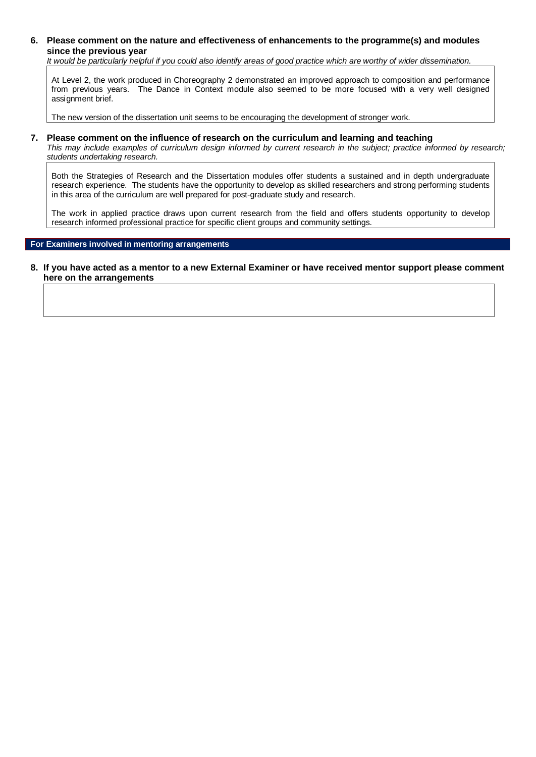## **6. Please comment on the nature and effectiveness of enhancements to the programme(s) and modules since the previous year**

*It would be particularly helpful if you could also identify areas of good practice which are worthy of wider dissemination.* 

At Level 2, the work produced in Choreography 2 demonstrated an improved approach to composition and performance from previous years. The Dance in Context module also seemed to be more focused with a very well designed assignment brief.

The new version of the dissertation unit seems to be encouraging the development of stronger work.

#### **7. Please comment on the influence of research on the curriculum and learning and teaching**

*This may include examples of curriculum design informed by current research in the subject; practice informed by research; students undertaking research.* 

Both the Strategies of Research and the Dissertation modules offer students a sustained and in depth undergraduate research experience. The students have the opportunity to develop as skilled researchers and strong performing students in this area of the curriculum are well prepared for post-graduate study and research.

The work in applied practice draws upon current research from the field and offers students opportunity to develop research informed professional practice for specific client groups and community settings.

#### **For Examiners involved in mentoring arrangements**

#### **8. If you have acted as a mentor to a new External Examiner or have received mentor support please comment here on the arrangements**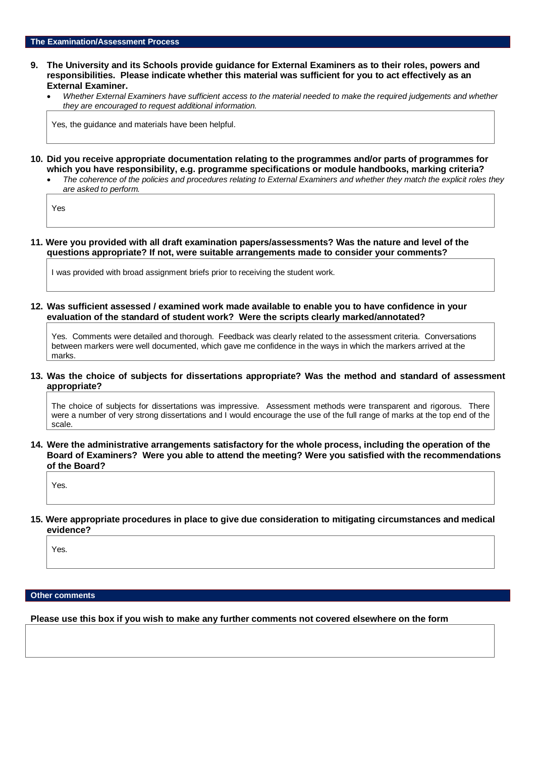### **9. The University and its Schools provide guidance for External Examiners as to their roles, powers and responsibilities. Please indicate whether this material was sufficient for you to act effectively as an External Examiner.**

• *Whether External Examiners have sufficient access to the material needed to make the required judgements and whether they are encouraged to request additional information.*

Yes, the guidance and materials have been helpful.

- **10. Did you receive appropriate documentation relating to the programmes and/or parts of programmes for which you have responsibility, e.g. programme specifications or module handbooks, marking criteria?**
	- *The coherence of the policies and procedures relating to External Examiners and whether they match the explicit roles they are asked to perform.*

Yes

**11. Were you provided with all draft examination papers/assessments? Was the nature and level of the questions appropriate? If not, were suitable arrangements made to consider your comments?**

I was provided with broad assignment briefs prior to receiving the student work.

**12. Was sufficient assessed / examined work made available to enable you to have confidence in your evaluation of the standard of student work? Were the scripts clearly marked/annotated?** 

Yes. Comments were detailed and thorough. Feedback was clearly related to the assessment criteria. Conversations between markers were well documented, which gave me confidence in the ways in which the markers arrived at the marks.

**13. Was the choice of subjects for dissertations appropriate? Was the method and standard of assessment appropriate?**

The choice of subjects for dissertations was impressive. Assessment methods were transparent and rigorous. There were a number of very strong dissertations and I would encourage the use of the full range of marks at the top end of the scale.

**14. Were the administrative arrangements satisfactory for the whole process, including the operation of the Board of Examiners? Were you able to attend the meeting? Were you satisfied with the recommendations of the Board?**

Yes.

**15. Were appropriate procedures in place to give due consideration to mitigating circumstances and medical evidence?**

Yes.

## **Other comments**

**Please use this box if you wish to make any further comments not covered elsewhere on the form**